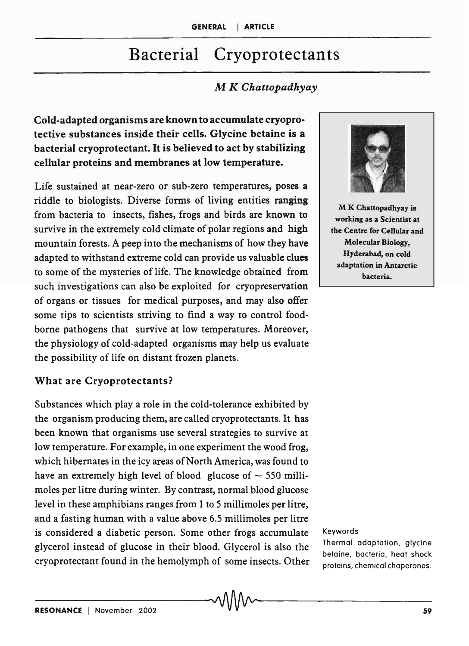# Bacterial Cryoprotectants

# M *K Chattopadhyay*

Cold-adapted organisms are known to accumulate cryoprotective substances inside their cells. Glycine betaine is a bacterial cryoprotectant. It is believed to act by stabilizing cellular proteins and membranes at low temperature.

Life sustained at near-zero or sub-zero temperatures, poses a riddle to biologists. Diverse forms of living entities ranging from bacteria to insects, fishes, frogs and birds are known to survive in the extremely cold climate of polar regions and high mountain forests. A peep into the mechanisms of how they have adapted to withstand extreme cold can provide us valuable clues to some of the mysteries of life. The knowledge obtained from such investigations can also be exploited for cryopreservation of organs or tissues for medical purposes, and may also offer some tips to scientists striving to find a way to control foodborne pathogens that survive at low temperatures. Moreover, the physiology of cold-adapted organisms may help us evaluate the possibility of life on distant frozen planets.

### What are Cryoprotectants?

Substances which playa role in the cold-tolerance exhibited by the organism producing them, are called cryoprotectants. It has been known that organisms use several strategies to survive at low temperature. For example, in one experiment the wood frog, which hibernates in the icy areas of North America, was found to have an extremely high level of blood glucose of  $\sim$  550 millimoles per litre during winter. By contrast, normal blood glucose level in these amphibians ranges from 1 to 5 millimoles per litre, and a fasting human with a value above 6.5 millimoles per litre is considered a diabetic person. Some other frogs accumulate glycerol instead of glucose in their blood. Glycerol is also the cryoprotectant found in the hemolymph of some insects. Other



M K Chattopadhyay is working as a Scientist at the Centre for Cellular and Molecular Biology, Hyderabad, on cold adaptation in Antarctic bacteria.

#### Keywords

Thermal adaptation, glycine betaine, bacteria, heat shock proteins, chemical chaperones.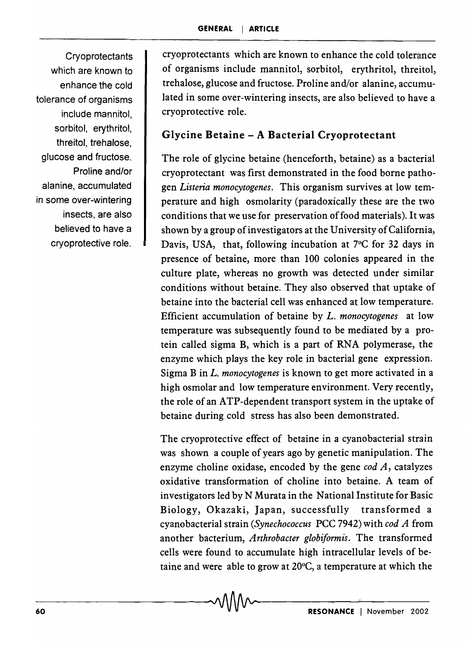**Cryoprotectants** which are known to enhance the cold tolerance of organisms include mannitol, sorbitol, erythritol, threitol, trehalose, glucose and fructose. Proline and/or alanine, accumulated in some over-wintering insects, are also believed to have a cryoprotective role.

cryoprotectants which are known to enhance the cold tolerance of organisms include mannitol, sorbitol, erythritol, threitol, trehalose, glucose and fructose. Proline and/or alanine, accumulated in some over-wintering insects, are also believed to have a cryoprotective role.

# Glycine Betaine - A Bacterial Cryoprotectant

The role of glycine betaine (henceforth, betaine) as a bacterial cryoprotectant was first demonstrated in the food borne pathogen *Listeria monocytogenes.* This organism survives at low temperature and high osmolarity (paradoxically these are the two conditions that we use for preservation of food materials). It was shown by a group of investigators at the University of California, Davis, USA, that, following incubation at 7°C for 32 days in presence of betaine, more than 100 colonies appeared in the culture plate, whereas no growth was detected under similar conditions without betaine. They also observed that uptake of betaine into the bacterial cell was enhanced at low temperature. Efficient accumulation of betaine by *L. monocytogenes* at low temperature was subsequently found to be mediated by a protein called sigma B, which is a part of RNA polymerase, the enzyme which plays the key role in bacterial gene expression. Sigma B in *L. monocytogenes* is known to get more activated in a high osmolar and low temperature environment. Very recently, the role of an ATP-dependent transport system in the uptake of betaine during cold stress has also been demonstrated.

The cryoprotective effect of betaine in a cyanobacterial strain was shown a couple of years ago by genetic manipulation. The enzyme choline oxidase, encoded by the gene *cod A,* catalyzes oxidative transformation of choline into betaine. A team of investigators led by N Murata in the National Institute for Basic Biology, Okazaki, Japan, successfully transformed a cyanobacterial strain *(Synechococcus* PCC 7942) with *cod A* from another bacterium, *Arthrobacter globiformis.* The transformed cells were found to accumulate high intracellular levels of betaine and were able to grow at 20°C, a temperature at which the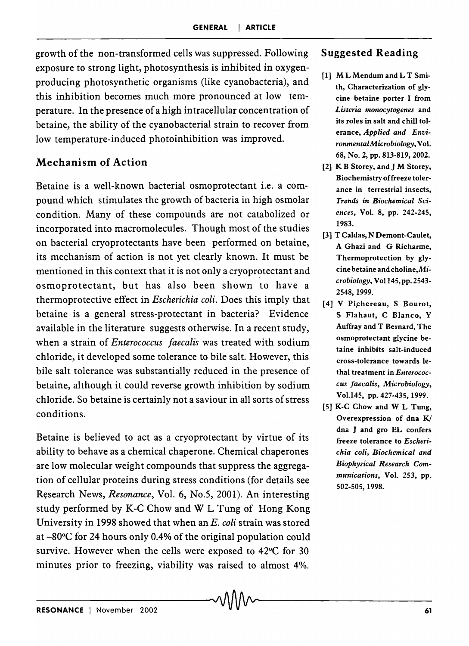growth of the non-transformed cells was suppressed. Following exposure to strong light, photosynthesis is inhibited in oxygenproducing photosynthetic organisms (like cyanobacteria), and this inhibition becomes much more pronounced at low temperature. In the presence of a high intracellular concentration of betaine, the ability of the cyanobacterial strain to recover from low temperature-induced photoinhibition was improved.

# Mechanism of Action

Betaine is a well-known bacterial osmoprotectant i.e. a compound which stimulates the growth of bacteria in high osmolar condition. Many of these compounds are not catabolized or incorporated into macromolecules. Though most of the studies on bacterial cryoprotectants have been performed on betaine, its mechanism of action is not yet clearly known. It must be mentioned in this context that it is not only a cryoprotectant and osmoprotectant, but has also been shown to have a thermoprotective effect in *Escherichia coli.* Does this imply that betaine is a general stress-protectant in bacteria? Evidence available in the literature suggests otherwise. In a recent study, when a strain of *Enterococcus faecalis* was treated with sodium chloride, it developed some tolerance to bile salt. However, this bile salt tolerance was substantially reduced in the presence of betaine, although it could reverse growth inhibition by sodium chloride. So betaine is certainly not a saviour in all sorts of stress conditions.

Betaine is believed to act as a cryoprotectant by virtue of its ability to behave as a chemical chaperone. Chemical chaperones are low molecular weight compounds that suppress the aggregation of cellular proteins during stress conditions (for details see Research News, *Resonance*, Vol. 6, No.5, 2001). An interesting study performed by K-C Chow and W L Tung of Hong Kong University in 1998 showed that when an *E. coli* strain was stored at -80°C for 24 hours only 0.4% of the original population could survive. However when the cells were exposed to 42°C for 30 minutes prior to freezing, viability was raised to almost 4%.

### Suggested Reading

- [1] M L Mendum and L T Smith, Characterization of glycine betaine porter I from *Listeria monocytogenes* and its roles in salt and chill tolerance, *Applied and EnviromnentalMicrobiology,* Vol. 68, No.2, pp. 813-819, 2002.
- [2] K B Storey, and J M Storey, Biochemistry offreeze tolerance in terrestrial insects, *Trends* in *Biochemical Sciences,* Vol. 8, pp. 242-245, 1983.
- [3] T Caldas, N Demont-Caulet, A Ghazi and G Richarme, Thermoprotection by glycine betaine and choline,Mi*crobiology,* Vo1l45,pp.2543- 2548,1999.
- [4] V Pichereau, S Bourot, S Flahaut, C Blanco, Y Auffray and T Bernard, The osmoprotectant glycine betaine inhibits salt-induced cross-tolerance towards lethal treatment in *Enterococcus faecalis, A1.icTobiology,*  Vo1.l45, pp. 427-435,1999.
- [5] K-C Chow and W L Tung, Overexpression of dna  $K/$ dna J and gro EL confers freeze tolerance to *Escherichia coli, Biochemical and Biophysical Research Communications,* Vol. 253, pp. 502-505, 1998.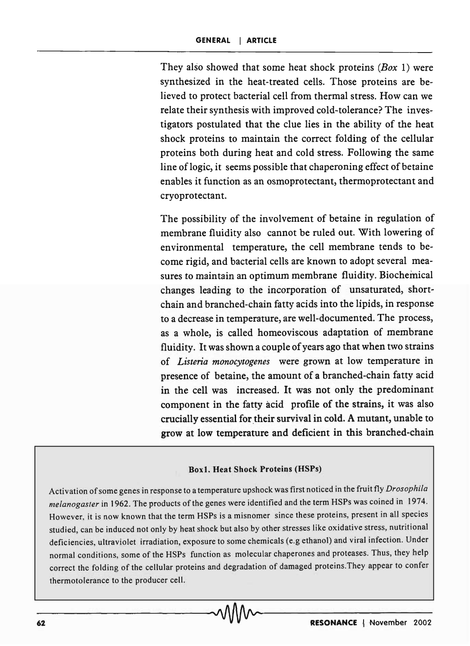They also showed that some heat shock proteins *(Box* 1) were synthesized in the heat-treated cells. Those proteins are believed to protect bacterial cell from thermal stress. How can we relate their synthesis with improved cold-tolerance? The investigators postulated that the clue lies in the ability of the heat shock proteins to maintain the correct folding of the cellular proteins both during heat and cold stress. Following the same line of logic, it seems possible that chaperoning effect of betaine enables it function as an osmoprotectant, thermoprotectant and cryoprotectant.

The possibility of the involvement of betaine in regulation of membrane fluidity also cannot be ruled out. With lowering of environmental temperature, the cell membrane tends to become rigid, and bacterial cells are known to adopt several measures to maintain an optimum membrane fluidity. Biochemical changes leading to the incorporation of unsaturated, shortchain and branched-chain fatty acids into the lipids, in response to a decrease in temperature, are well-documented. The process, as a whole, is called homeoviscous adaptation of membrane fluidity. It was shown a couple of years ago that when two strains of *Listeria monocytogenes* were grown at low temperature in presence of betaine, the amount of a branched-chain fatty acid in the cell was increased. It was not only the predominant component in the fatty acid profile of the strains, it was also crucially essential for their survival in cold. A mutant, unable to grow at low temperature and deficient in this branched-chain

#### Boxl. Heat Shock Proteins (HSPs)

Activation of some genes in response to a temperature upshock was first noticed in the fruit fly *Drosophila melanogaster* in 1962. The products of the genes were identified and the term HSPs was coined in 1974. However, it is now known that the term HSPs is a misnomer since these proteins, present in all species studied, can be induced not only by heat shock but also by other stresses like oxidative stress, nutritional deficiencies, ultraviolet irradiation, exposure to some chemicals (e.g ethanol) and viral infection. Under normal conditions, some of the HSPs function as molecular chaperones and proteases. Thus, they help correct the folding of the cellular proteins and degradation of damaged proteins.They appear to confer thermotolerance to the producer cell.